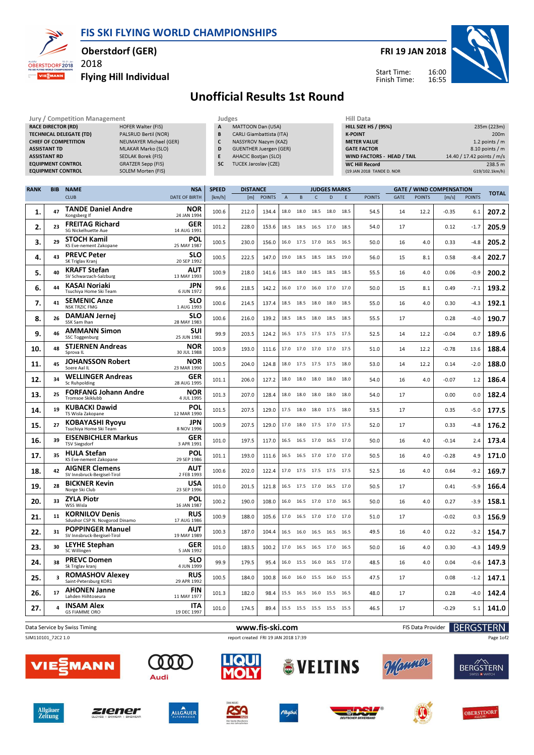FIS SKI FLYING WORLD CHAMPIONSHIPS



## Oberstdorf (GER)

2018 Flying Hill Individual



## Unofficial Results 1st Round

|                                                             |                     | Jury / Competition Management                 |                           | Judges       |                               |               |              |      |      |                             | <b>Hill Data</b>          |                            |             |               |                                 |               |              |  |
|-------------------------------------------------------------|---------------------|-----------------------------------------------|---------------------------|--------------|-------------------------------|---------------|--------------|------|------|-----------------------------|---------------------------|----------------------------|-------------|---------------|---------------------------------|---------------|--------------|--|
| <b>RACE DIRECTOR (RD)</b><br><b>HOFER Walter (FIS)</b>      |                     |                                               |                           |              | MATTOON Dan (USA)<br>A        |               |              |      |      | <b>HILL SIZE HS / (95%)</b> |                           |                            |             | 235m (223m)   |                                 |               |              |  |
| <b>TECHNICAL DELEGATE (TD)</b><br>PALSRUD Bertil (NOR)<br>B |                     |                                               |                           |              | CARLI Giambattista (ITA)      |               |              |      |      |                             |                           | <b>K-POINT</b>             |             |               | 200 <sub>m</sub>                |               |              |  |
| <b>CHIEF OF COMPETITION</b><br>NEUMAYER Michael (GER)<br>C  |                     |                                               |                           |              | NASSYROV Nazym (KAZ)          |               |              |      |      |                             |                           | <b>METER VALUE</b>         |             |               | 1.2 points / m                  |               |              |  |
|                                                             | <b>ASSISTANT TD</b> |                                               | <b>MLAKAR Marko (SLO)</b> | D            | <b>GUENTHER Juergen (GER)</b> |               |              |      |      |                             |                           | <b>GATE FACTOR</b>         |             |               | $8.10$ points / m               |               |              |  |
|                                                             | <b>ASSISTANT RD</b> |                                               | SEDLAK Borek (FIS)        | E.           | <b>AHACIC Bostjan (SLO)</b>   |               |              |      |      |                             |                           | WIND FACTORS - HEAD / TAIL |             |               | 14.40 / 17.42 points / m/s      |               |              |  |
|                                                             |                     | <b>EQUIPMENT CONTROL</b>                      | <b>GRATZER Sepp (FIS)</b> | <b>SC</b>    | <b>TUCEK Jaroslav (CZE)</b>   |               |              |      |      |                             |                           | <b>WC Hill Record</b>      |             |               | 238.5 m                         |               |              |  |
|                                                             |                     | <b>EQUIPMENT CONTROL</b>                      | SOLEM Morten (FIS)        |              |                               |               |              |      |      |                             | (19 JAN 2018 TANDE D. NOR |                            |             |               | G19/102.1km/h)                  |               |              |  |
|                                                             |                     |                                               |                           |              |                               |               |              |      |      |                             |                           |                            |             |               |                                 |               |              |  |
|                                                             |                     |                                               |                           |              |                               |               |              |      |      |                             |                           |                            |             |               |                                 |               |              |  |
| <b>RANK</b>                                                 | <b>BIB</b>          | <b>NAME</b>                                   | <b>NSA</b>                | <b>SPEED</b> | <b>DISTANCE</b>               |               |              |      |      | <b>JUDGES MARKS</b>         |                           |                            |             |               | <b>GATE / WIND COMPENSATION</b> |               |              |  |
|                                                             |                     | <b>CLUB</b>                                   | <b>DATE OF BIRTH</b>      | [km/h]       | [m]                           | <b>POINTS</b> | $\mathsf{A}$ | B.   | C.   | D.                          | F                         | <b>POINTS</b>              | <b>GATE</b> | <b>POINTS</b> | [m/s]                           | <b>POINTS</b> | <b>TOTAL</b> |  |
| τ.                                                          | 47                  | <b>TANDE Daniel Andre</b><br>Kongsberg If     | <b>NOR</b><br>24 JAN 1994 | 100.6        | 212.0                         | 134.4         | 18.0         | 18.0 | 18.5 | 18.0                        | 18.5                      | 54.5                       | 14          | 12.2          | $-0.35$                         | 6.1           | 207.2        |  |
| 2.                                                          | 23                  | <b>FREITAG Richard</b><br>SG Nickelhuette Aue | <b>GER</b><br>14 AUG 1991 | 101.2        | 228.0                         | 153.6         | 18.5         | 18.5 | 16.5 | 17.0                        | 18.5                      | 54.0                       | 17          |               | 0.12                            | $-1.7$        | 205.9        |  |

| 4.  | 43                      | <b>PREVC Peter</b><br>SK Triglav Krani                  | <b>SLO</b><br>20 SEP 1992 | 100.5 | 222.5 | 147.0 |           |           |      | 19.0 18.5 18.5 18.5 19.0 | 56.0 | 15 | 8.1  | 0.58    | $-8.4$ | 202.7 |
|-----|-------------------------|---------------------------------------------------------|---------------------------|-------|-------|-------|-----------|-----------|------|--------------------------|------|----|------|---------|--------|-------|
| 5.  | 40                      | <b>KRAFT Stefan</b><br>SV Schwarzach-Salzburg           | AUT<br>13 MAY 1993        | 100.9 | 218.0 | 141.6 | 18.5 18.0 |           |      | 18.5 18.5 18.5           | 55.5 | 16 | 4.0  | 0.06    | $-0.9$ | 200.2 |
| 6.  | 44                      | <b>KASAI Noriaki</b><br>Tsuchiya Home Ski Team          | <b>JPN</b><br>6 JUN 1972  | 99.6  | 218.5 | 142.2 |           |           |      | 16.0 17.0 16.0 17.0 17.0 | 50.0 | 15 | 8.1  | 0.49    | $-7.1$ | 193.2 |
| 7.  | 41                      | <b>SEMENIC Anze</b><br><b>NSK TRZIC FMG</b>             | <b>SLO</b><br>1 AUG 1993  | 100.6 | 214.5 | 137.4 |           |           |      | 18.5 18.5 18.0 18.0 18.5 | 55.0 | 16 | 4.0  | 0.30    | -4.3   | 192.1 |
| 8.  | 26                      | <b>DAMJAN Jernej</b><br>SSK Sam Ihan                    | <b>SLO</b><br>28 MAY 1983 | 100.6 | 216.0 | 139.2 |           |           |      | 18.5 18.5 18.0 18.5 18.5 | 55.5 | 17 |      | 0.28    | $-4.0$ | 190.7 |
| 9.  | 46                      | <b>AMMANN Simon</b><br><b>SSC Toggenburg</b>            | <b>SUI</b><br>25 JUN 1981 | 99.9  | 203.5 | 124.2 |           |           |      | 16.5 17.5 17.5 17.5 17.5 | 52.5 | 14 | 12.2 | $-0.04$ | 0.7    | 189.6 |
| 10. | 48                      | <b>STJERNEN Andreas</b><br>Sprova IL                    | <b>NOR</b><br>30 JUL 1988 | 100.9 | 193.0 | 111.6 |           |           |      | 17.0 17.0 17.0 17.0 17.5 | 51.0 | 14 | 12.2 | $-0.78$ | 13.6   | 188.4 |
| 11. | 45                      | <b>JOHANSSON Robert</b><br>Soere Aal IL                 | <b>NOR</b><br>23 MAR 1990 | 100.5 | 204.0 | 124.8 |           |           |      | 18.0 17.5 17.5 17.5 18.0 | 53.0 | 14 | 12.2 | 0.14    | $-2.0$ | 188.0 |
| 12. | 34                      | <b>WELLINGER Andreas</b><br>Sc Ruhpolding               | <b>GER</b><br>28 AUG 1995 | 101.1 | 206.0 | 127.2 | 18.0 18.0 |           |      | 18.0 18.0 18.0           | 54.0 | 16 | 4.0  | $-0.07$ | 1.2    | 186.4 |
| 13. | 25                      | <b>FORFANG Johann Andre</b><br>Tromsoe Skiklubb         | <b>NOR</b><br>4 JUL 1995  | 101.3 | 207.0 | 128.4 | 18.0      | 18.0      | 18.0 | 18.0 18.0                | 54.0 | 17 |      | 0.00    | 0.0    | 182.4 |
| 14. | 19                      | <b>KUBACKI Dawid</b><br>TS Wisla Zakopane               | POL<br>12 MAR 1990        | 101.5 | 207.5 | 129.0 | 17.5 18.0 |           |      | 18.0 17.5 18.0           | 53.5 | 17 |      | 0.35    | $-5.0$ | 177.5 |
| 15. | 27                      | <b>KOBAYASHI Ryoyu</b><br>Tsuchiya Home Ski Team        | <b>JPN</b><br>8 NOV 1996  | 100.9 | 207.5 | 129.0 | 17.0 18.0 |           |      | 17.5 17.0 17.5           | 52.0 | 17 |      | 0.33    | -4.8   | 176.2 |
| 16. | 39                      | <b>EISENBICHLER Markus</b><br><b>TSV Siegsdorf</b>      | <b>GER</b><br>3 APR 1991  | 101.0 | 197.5 | 117.0 |           |           |      | 16.5 16.5 17.0 16.5 17.0 | 50.0 | 16 | 4.0  | $-0.14$ | 2.4    | 173.4 |
| 17. | 35                      | <b>HULA Stefan</b><br>KS Eve-nement Zakopane            | POL<br>29 SEP 1986        | 101.1 | 193.0 | 111.6 |           |           |      | 16.5 16.5 17.0 17.0 17.0 | 50.5 | 16 | 4.0  | $-0.28$ | 4.9    | 171.0 |
| 18. | 42                      | <b>AIGNER Clemens</b><br>SV Innsbruck-Bergisel-Tirol    | AUT<br>2 FEB 1993         | 100.6 | 202.0 | 122.4 |           |           |      | 17.0 17.5 17.5 17.5 17.5 | 52.5 | 16 | 4.0  | 0.64    | $-9.2$ | 169.7 |
| 19. | 28                      | <b>BICKNER Kevin</b><br>Norge Ski Club                  | <b>USA</b><br>23 SEP 1996 | 101.0 | 201.5 | 121.8 |           | 16.5 17.5 |      | 17.0 16.5 17.0           | 50.5 | 17 |      | 0.41    | -5.9   | 166.4 |
| 20. | 33                      | <b>ZYLA Piotr</b><br>WSS Wisla                          | POL<br>16 JAN 1987        | 100.2 | 190.0 | 108.0 |           |           |      | 16.0 16.5 17.0 17.0 16.5 | 50.0 | 16 | 4.0  | 0.27    | $-3.9$ | 158.1 |
| 21. | 11                      | <b>KORNILOV Denis</b><br>Sdushor CSP N. Novgorod Dinamo | RUS<br>17 AUG 1986        | 100.9 | 188.0 | 105.6 |           |           |      | 17.0 16.5 17.0 17.0 17.0 | 51.0 | 17 |      | $-0.02$ | 0.3    | 156.9 |
| 22. | 31                      | <b>POPPINGER Manuel</b><br>SV Innsbruck-Bergisel-Tirol  | AUT<br>19 MAY 1989        | 100.3 | 187.0 | 104.4 |           | 16.5 16.0 |      | 16.5 16.5 16.5           | 49.5 | 16 | 4.0  | 0.22    | $-3.2$ | 154.7 |
| 23. | 30                      | <b>LEYHE Stephan</b><br>SC Willingen                    | <b>GER</b><br>5 JAN 1992  | 101.0 | 183.5 | 100.2 | 17.0 16.5 |           |      | 16.5 17.0 16.5           | 50.0 | 16 | 4.0  | 0.30    | $-4.3$ | 149.9 |
| 24. | 38                      | <b>PREVC Domen</b><br>Sk Triglav kranj                  | <b>SLO</b><br>4 JUN 1999  | 99.9  | 179.5 | 95.4  | 16.0 15.5 |           |      | 16.0 16.5 17.0           | 48.5 | 16 | 4.0  | 0.04    | $-0.6$ | 147.3 |
| 25. | $\overline{\mathbf{3}}$ | <b>ROMASHOV Alexey</b><br>Saint-Petersburg KOR1         | <b>RUS</b><br>29 APR 1992 | 100.5 | 184.0 | 100.8 | 16.0 16.0 |           |      | 15.5 16.0 15.5           | 47.5 | 17 |      | 0.08    | $-1.2$ | 147.1 |
| 26. | 17                      | <b>AHONEN Janne</b><br>Lahden Hiihtoseura               | <b>FIN</b><br>11 MAY 1977 | 101.3 | 182.0 | 98.4  | 15.5      | 16.5      |      | 16.0 15.5 16.5           | 48.0 | 17 |      | 0.28    | -4.0   | 142.4 |
| 27. |                         | <b>INSAM Alex</b><br><b>GS FIAMME ORO</b>               | ITA<br>19 DEC 1997        | 101.0 | 174.5 | 89.4  |           |           |      | 15.5 15.5 15.5 15.5 15.5 | 46.5 | 17 |      | $-0.29$ | 5.1    | 141.0 |
|     |                         |                                                         |                           |       |       |       |           |           |      |                          |      |    |      |         |        |       |

Data Service by Swiss Timing **EXECOTER N WWW.fis-ski.com** FIS Data Provider **BERGSTERN** SJM110101\_72C2 1.0 report created FRI 19 JAN 2018 17:39 Page 1of2LIQUI  $000$